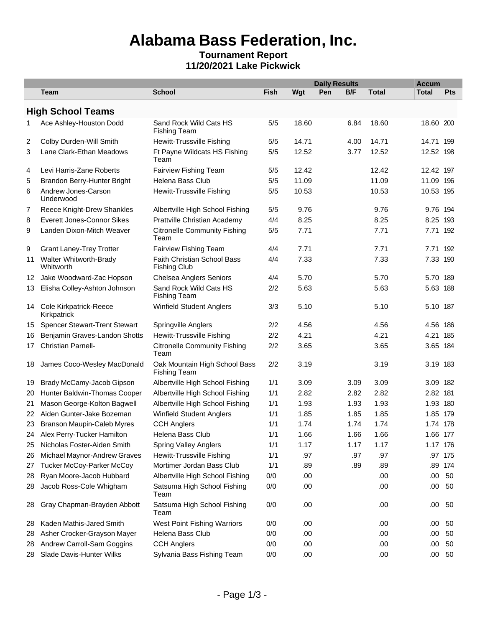## **Alabama Bass Federation, Inc.**

#### **Tournament Report 11/20/2021 Lake Pickwick**

|    |                                          |                                                      |             | <b>Daily Results</b> |     |      | <b>Accum</b> |              |            |  |
|----|------------------------------------------|------------------------------------------------------|-------------|----------------------|-----|------|--------------|--------------|------------|--|
|    | Team                                     | <b>School</b>                                        | <b>Fish</b> | Wgt                  | Pen | B/F  | <b>Total</b> | <b>Total</b> | <b>Pts</b> |  |
|    | <b>High School Teams</b>                 |                                                      |             |                      |     |      |              |              |            |  |
| 1. | Ace Ashley-Houston Dodd                  | Sand Rock Wild Cats HS<br><b>Fishing Team</b>        | 5/5         | 18.60                |     | 6.84 | 18.60        | 18.60 200    |            |  |
| 2  | Colby Durden-Will Smith                  | Hewitt-Trussville Fishing                            | 5/5         | 14.71                |     | 4.00 | 14.71        | 14.71 199    |            |  |
| 3  | Lane Clark-Ethan Meadows                 | Ft Payne Wildcats HS Fishing<br>Team                 | 5/5         | 12.52                |     | 3.77 | 12.52        | 12.52 198    |            |  |
| 4  | Levi Harris-Zane Roberts                 | Fairview Fishing Team                                | 5/5         | 12.42                |     |      | 12.42        | 12.42 197    |            |  |
| 5  | Brandon Berry-Hunter Bright              | Helena Bass Club                                     | 5/5         | 11.09                |     |      | 11.09        | 11.09 196    |            |  |
| 6  | Andrew Jones-Carson<br>Underwood         | Hewitt-Trussville Fishing                            | 5/5         | 10.53                |     |      | 10.53        | 10.53 195    |            |  |
| 7  | Reece Knight-Drew Shankles               | Albertville High School Fishing                      | 5/5         | 9.76                 |     |      | 9.76         | 9.76 194     |            |  |
| 8  | Everett Jones-Connor Sikes               | Prattville Christian Academy                         | 4/4         | 8.25                 |     |      | 8.25         | 8.25 193     |            |  |
| 9  | Landen Dixon-Mitch Weaver                | <b>Citronelle Community Fishing</b><br>Team          | 5/5         | 7.71                 |     |      | 7.71         | 7.71 192     |            |  |
| 9  | <b>Grant Laney-Trey Trotter</b>          | Fairview Fishing Team                                | 4/4         | 7.71                 |     |      | 7.71         | 7.71 192     |            |  |
| 11 | Walter Whitworth-Brady<br>Whitworth      | Faith Christian School Bass<br><b>Fishing Club</b>   | 4/4         | 7.33                 |     |      | 7.33         | 7.33 190     |            |  |
| 12 | Jake Woodward-Zac Hopson                 | <b>Chelsea Anglers Seniors</b>                       | 4/4         | 5.70                 |     |      | 5.70         | 5.70 189     |            |  |
| 13 | Elisha Colley-Ashton Johnson             | Sand Rock Wild Cats HS<br><b>Fishing Team</b>        | 2/2         | 5.63                 |     |      | 5.63         | 5.63 188     |            |  |
|    | 14 Cole Kirkpatrick-Reece<br>Kirkpatrick | <b>Winfield Student Anglers</b>                      | 3/3         | 5.10                 |     |      | 5.10         | 5.10 187     |            |  |
| 15 | <b>Spencer Stewart-Trent Stewart</b>     | Springville Anglers                                  | 2/2         | 4.56                 |     |      | 4.56         | 4.56 186     |            |  |
| 16 | Benjamin Graves-Landon Shotts            | Hewitt-Trussville Fishing                            | 2/2         | 4.21                 |     |      | 4.21         | 4.21 185     |            |  |
| 17 | Christian Parnell-                       | <b>Citronelle Community Fishing</b><br>Team          | 2/2         | 3.65                 |     |      | 3.65         | 3.65 184     |            |  |
| 18 | James Coco-Wesley MacDonald              | Oak Mountain High School Bass<br><b>Fishing Team</b> | 2/2         | 3.19                 |     |      | 3.19         | 3.19 183     |            |  |
| 19 | Brady McCamy-Jacob Gipson                | Albertville High School Fishing                      | 1/1         | 3.09                 |     | 3.09 | 3.09         | 3.09 182     |            |  |
| 20 | Hunter Baldwin-Thomas Cooper             | Albertville High School Fishing                      | 1/1         | 2.82                 |     | 2.82 | 2.82         | 2.82 181     |            |  |
| 21 | Mason George-Kolton Bagwell              | Albertville High School Fishing                      | 1/1         | 1.93                 |     | 1.93 | 1.93         | 1.93 180     |            |  |
|    | 22 Aiden Gunter-Jake Bozeman             | Winfield Student Anglers                             | 1/1         | 1.85                 |     | 1.85 | 1.85         | 1.85 179     |            |  |
|    | 23 Branson Maupin-Caleb Myres            | <b>CCH Anglers</b>                                   | 1/1         | 1.74                 |     | 1.74 | 1.74         | 1.74 178     |            |  |
| 24 | Alex Perry-Tucker Hamilton               | Helena Bass Club                                     | 1/1         | 1.66                 |     | 1.66 | 1.66         | 1.66 177     |            |  |
| 25 | Nicholas Foster-Aiden Smith              | <b>Spring Valley Anglers</b>                         | 1/1         | 1.17                 |     | 1.17 | 1.17         | 1.17 176     |            |  |
| 26 | Michael Maynor-Andrew Graves             | Hewitt-Trussville Fishing                            | 1/1         | .97                  |     | .97  | .97          |              | .97 175    |  |
| 27 | <b>Tucker McCoy-Parker McCoy</b>         | Mortimer Jordan Bass Club                            | 1/1         | .89                  |     | .89  | .89          |              | .89 174    |  |
| 28 | Ryan Moore-Jacob Hubbard                 | Albertville High School Fishing                      | 0/0         | .00                  |     |      | .00          | .00.         | 50         |  |
| 28 | Jacob Ross-Cole Whigham                  | Satsuma High School Fishing<br>Team                  | 0/0         | .00                  |     |      | .00          | $.00\,$      | 50         |  |
| 28 | Gray Chapman-Brayden Abbott              | Satsuma High School Fishing<br>Team                  | 0/0         | .00                  |     |      | .00          | .00          | 50         |  |
| 28 | Kaden Mathis-Jared Smith                 | West Point Fishing Warriors                          | 0/0         | .00                  |     |      | .00          | .00.         | 50         |  |
| 28 | Asher Crocker-Grayson Mayer              | Helena Bass Club                                     | 0/0         | .00                  |     |      | .00          | .00.         | 50         |  |
| 28 | Andrew Carroll-Sam Goggins               | <b>CCH Anglers</b>                                   | 0/0         | .00                  |     |      | .00          | .00          | 50         |  |
| 28 | Slade Davis-Hunter Wilks                 | Sylvania Bass Fishing Team                           | 0/0         | .00                  |     |      | .00          |              | $.00\ 50$  |  |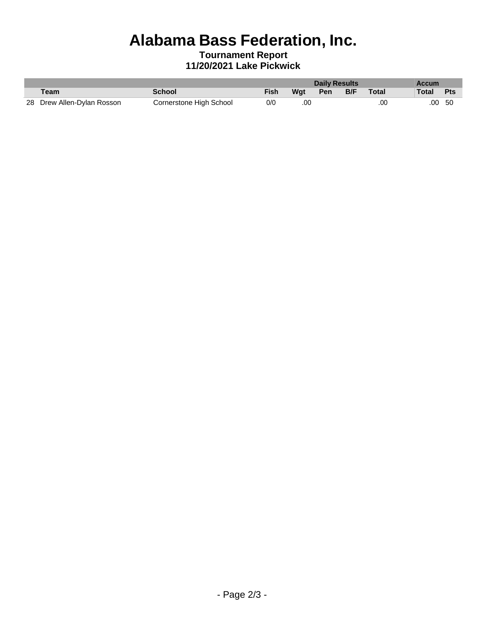# **Alabama Bass Federation, Inc.**

#### **Tournament Report 11/20/2021 Lake Pickwick**

|                            |                         | <b>Daily Results</b> |     |     | <b>Accum</b> |       |           |     |
|----------------------------|-------------------------|----------------------|-----|-----|--------------|-------|-----------|-----|
| Team                       | School                  | Fish                 | Wat | Pen | B/F          | Total | Total Pts |     |
| 28 Drew Allen-Dylan Rosson | Cornerstone High School | 0/0                  | .00 |     |              | .00   | .00       | -50 |